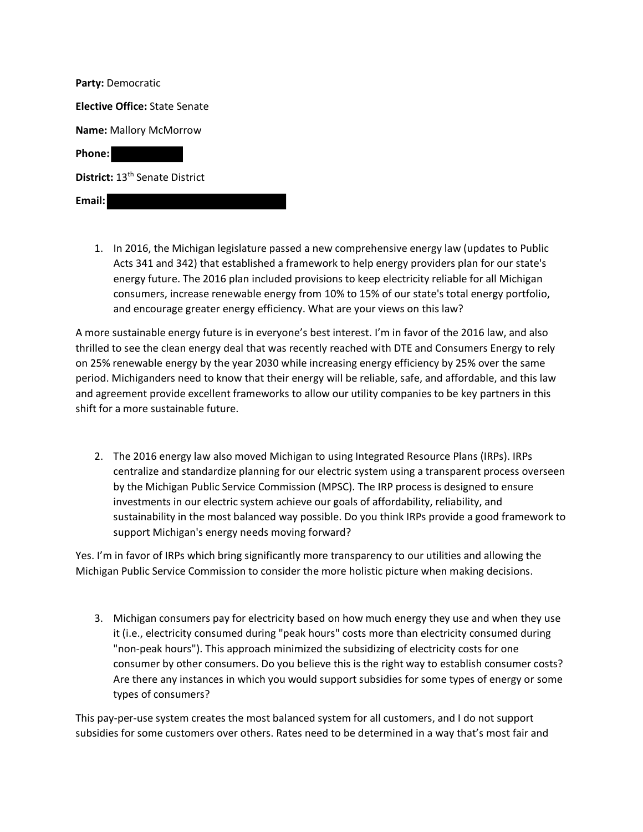| <b>Party: Democratic</b>                   |
|--------------------------------------------|
| <b>Elective Office: State Senate</b>       |
| <b>Name:</b> Mallory McMorrow              |
| Phone:                                     |
| District: 13 <sup>th</sup> Senate District |
| Email:                                     |

1. In 2016, the Michigan legislature passed a new comprehensive energy law (updates to Public Acts 341 and 342) that established a framework to help energy providers plan for our state's energy future. The 2016 plan included provisions to keep electricity reliable for all Michigan consumers, increase renewable energy from 10% to 15% of our state's total energy portfolio, and encourage greater energy efficiency. What are your views on this law?

A more sustainable energy future is in everyone's best interest. I'm in favor of the 2016 law, and also thrilled to see the clean energy deal that was recently reached with DTE and Consumers Energy to rely on 25% renewable energy by the year 2030 while increasing energy efficiency by 25% over the same period. Michiganders need to know that their energy will be reliable, safe, and affordable, and this law and agreement provide excellent frameworks to allow our utility companies to be key partners in this shift for a more sustainable future.

2. The 2016 energy law also moved Michigan to using Integrated Resource Plans (IRPs). IRPs centralize and standardize planning for our electric system using a transparent process overseen by the Michigan Public Service Commission (MPSC). The IRP process is designed to ensure investments in our electric system achieve our goals of affordability, reliability, and sustainability in the most balanced way possible. Do you think IRPs provide a good framework to support Michigan's energy needs moving forward?

Yes. I'm in favor of IRPs which bring significantly more transparency to our utilities and allowing the Michigan Public Service Commission to consider the more holistic picture when making decisions.

3. Michigan consumers pay for electricity based on how much energy they use and when they use it (i.e., electricity consumed during "peak hours" costs more than electricity consumed during "non-peak hours"). This approach minimized the subsidizing of electricity costs for one consumer by other consumers. Do you believe this is the right way to establish consumer costs? Are there any instances in which you would support subsidies for some types of energy or some types of consumers?

This pay-per-use system creates the most balanced system for all customers, and I do not support subsidies for some customers over others. Rates need to be determined in a way that's most fair and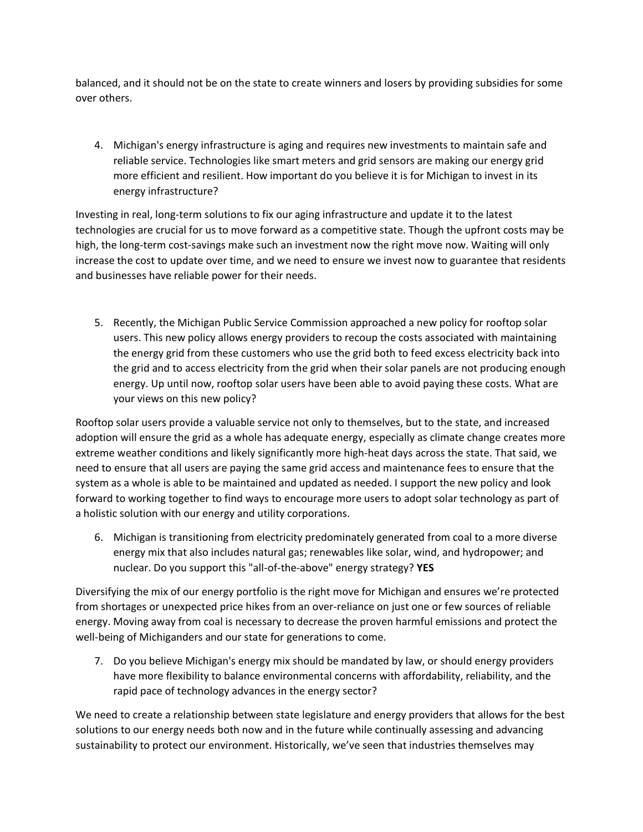balanced, and it should not be on the state to create winners and losers by providing subsidies for some over others.

4. Michigan's energy infrastructure is aging and requires new investments to maintain safe and reliable service. Technologies like smart meters and grid sensors are making our energy grid more efficient and resilient. How important do you believe it is for Michigan to invest in its energy infrastructure?

Investing in real, long-term solutions to fix our aging infrastructure and update it to the latest technologies are crucial for us to move forward as a competitive state. Though the upfront costs may be high, the long-term cost-savings make such an investment now the right move now. Waiting will only increase the cost to update over time, and we need to ensure we invest now to guarantee that residents and businesses have reliable power for their needs.

5. Recently, the Michigan Public Service Commission approached a new policy for rooftop solar users. This new policy allows energy providers to recoup the costs associated with maintaining the energy grid from these customers who use the grid both to feed excess electricity back into the grid and to access electricity from the grid when their solar panels are not producing enough energy. Up until now, rooftop solar users have been able to avoid paying these costs. What are your views on this new policy?

Rooftop solar users provide a valuable service not only to themselves, but to the state, and increased adoption will ensure the grid as a whole has adequate energy, especially as climate change creates more extreme weather conditions and likely significantly more high-heat days across the state. That said, we need to ensure that all users are paying the same grid access and maintenance fees to ensure that the system as a whole is able to be maintained and updated as needed. I support the new policy and look forward to working together to find ways to encourage more users to adopt solar technology as part of a holistic solution with our energy and utility corporations.

6. Michigan is transitioning from electricity predominately generated from coal to a more diverse energy mix that also includes natural gas; renewables like solar, wind, and hydropower; and nuclear. Do you support this "all-of-the-above" energy strategy? **YES**

Diversifying the mix of our energy portfolio is the right move for Michigan and ensures we're protected from shortages or unexpected price hikes from an over-reliance on just one or few sources of reliable energy. Moving away from coal is necessary to decrease the proven harmful emissions and protect the well-being of Michiganders and our state for generations to come.

7. Do you believe Michigan's energy mix should be mandated by law, or should energy providers have more flexibility to balance environmental concerns with affordability, reliability, and the rapid pace of technology advances in the energy sector?

We need to create a relationship between state legislature and energy providers that allows for the best solutions to our energy needs both now and in the future while continually assessing and advancing sustainability to protect our environment. Historically, we've seen that industries themselves may